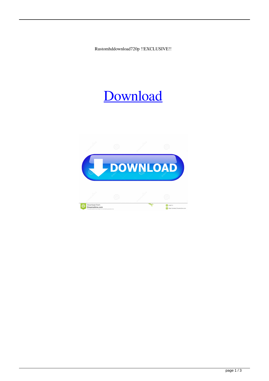Rustomhddownload720p !!EXCLUSIVE!!

## [Download](http://evacdir.com/acupuncturist?gymnast=UnVzdG9taGRkb3dubG9hZDcyMHAUnV.sycophant.buhler.lambda.ZG93bmxvYWR8RzlyTVdadE1ueDhNVFkxTXpBNE5ERTFOSHg4TWpVM05IeDhLRTBwSUhKbFlXUXRZbXh2WnlCYlJtRnpkQ0JIUlU1ZA)

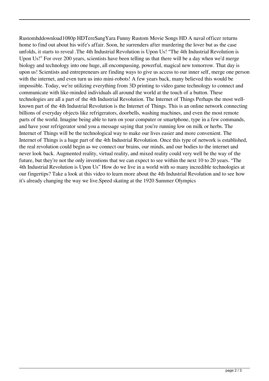Rustomhddownload1080p HDTereSangYara Funny Rustom Movie Songs HD A naval officer returns home to find out about his wife's affair. Soon, he surrenders after murdering the lover but as the case unfolds, it starts to reveal .The 4th Industrial Revolution is Upon Us! "The 4th Industrial Revolution is Upon Us!" For over 200 years, scientists have been telling us that there will be a day when we'd merge biology and technology into one huge, all encompassing, powerful, magical new tomorrow. That day is upon us! Scientists and entrepreneurs are finding ways to give us access to our inner self, merge one person with the internet, and even turn us into mini-robots! A few years back, many believed this would be impossible. Today, we're utilizing everything from 3D printing to video game technology to connect and communicate with like-minded individuals all around the world at the touch of a button. These technologies are all a part of the 4th Industrial Revolution. The Internet of Things Perhaps the most wellknown part of the 4th Industrial Revolution is the Internet of Things. This is an online network connecting billions of everyday objects like refrigerators, doorbells, washing machines, and even the most remote parts of the world. Imagine being able to turn on your computer or smartphone, type in a few commands, and have your refrigerator send you a message saying that you're running low on milk or herbs. The Internet of Things will be the technological way to make our lives easier and more convenient. The Internet of Things is a huge part of the 4th Industrial Revolution. Once this type of network is established, the real revolution could begin as we connect our brains, our minds, and our bodies to the internet and never look back. Augmented reality, virtual reality, and mixed reality could very well be the way of the future, but they're not the only inventions that we can expect to see within the next 10 to 20 years. "The 4th Industrial Revolution is Upon Us" How do we live in a world with so many incredible technologies at our fingertips? Take a look at this video to learn more about the 4th Industrial Revolution and to see how it's already changing the way we live.Speed skating at the 1920 Summer Olympics